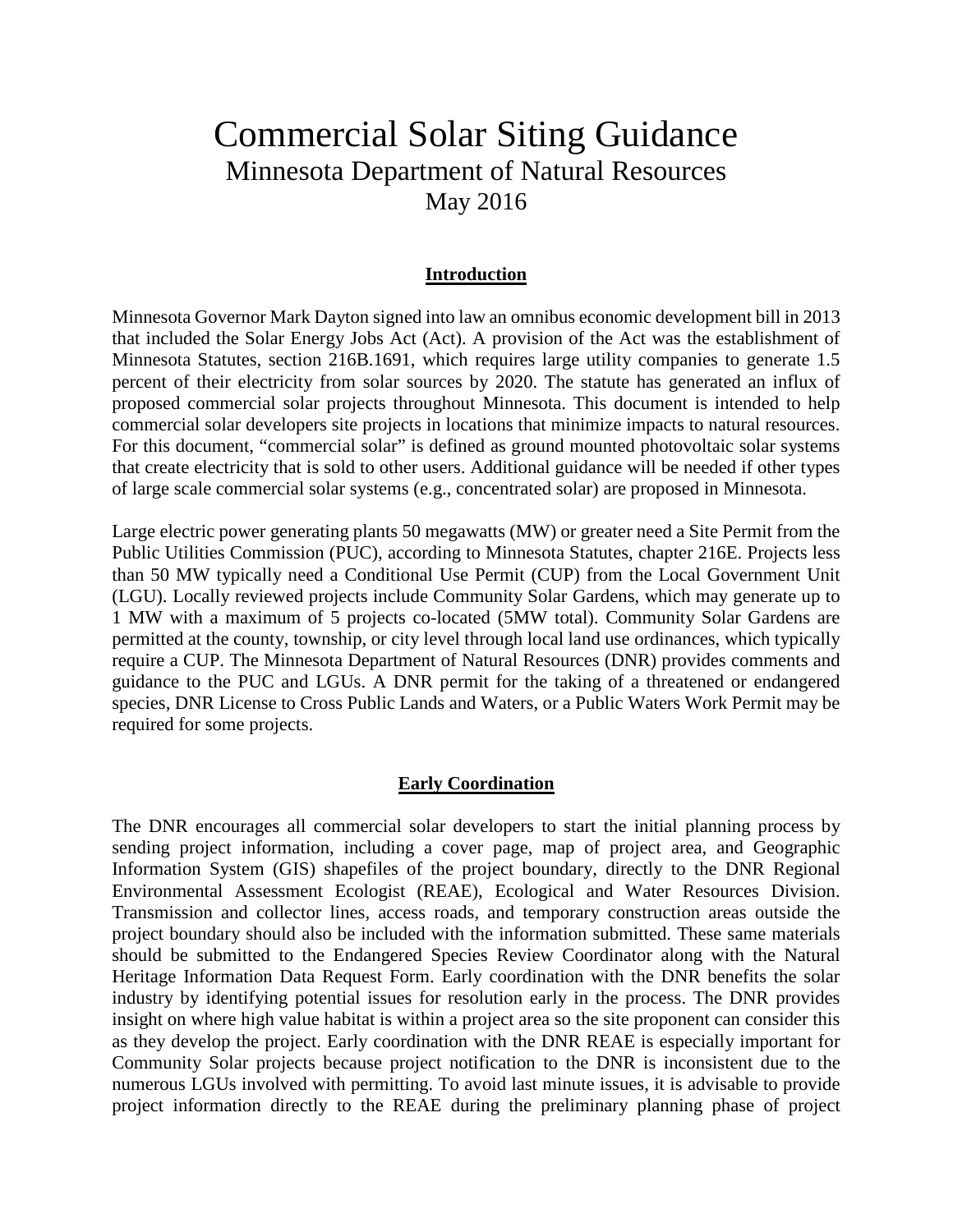# Commercial Solar Siting Guidance Minnesota Department of Natural Resources May 2016

#### **Introduction**

Minnesota Governor Mark Dayton signed into law an omnibus economic development bill in 2013 that included the Solar Energy Jobs Act (Act). A provision of the Act was the establishment of Minnesota Statutes, section 216B.1691, which requires large utility companies to generate 1.5 percent of their electricity from solar sources by 2020. The statute has generated an influx of proposed commercial solar projects throughout Minnesota. This document is intended to help commercial solar developers site projects in locations that minimize impacts to natural resources. For this document, "commercial solar" is defined as ground mounted photovoltaic solar systems that create electricity that is sold to other users. Additional guidance will be needed if other types of large scale commercial solar systems (e.g., concentrated solar) are proposed in Minnesota.

Large electric power generating plants 50 megawatts (MW) or greater need a Site Permit from the Public Utilities Commission (PUC), according to Minnesota Statutes, chapter 216E. Projects less than 50 MW typically need a Conditional Use Permit (CUP) from the Local Government Unit (LGU). Locally reviewed projects include Community Solar Gardens, which may generate up to 1 MW with a maximum of 5 projects co-located (5MW total). Community Solar Gardens are permitted at the county, township, or city level through local land use ordinances, which typically require a CUP. The Minnesota Department of Natural Resources (DNR) provides comments and guidance to the PUC and LGUs. A DNR permit for the taking of a threatened or endangered species, DNR License to Cross Public Lands and Waters, or a Public Waters Work Permit may be required for some projects.

#### **Early Coordination**

The DNR encourages all commercial solar developers to start the initial planning process by sending project information, including a cover page, map of project area, and Geographic Information System (GIS) shapefiles of the project boundary, directly to the DNR Regional Environmental Assessment Ecologist (REAE), Ecological and Water Resources Division. Transmission and collector lines, access roads, and temporary construction areas outside the project boundary should also be included with the information submitted. These same materials should be submitted to the Endangered Species Review Coordinator along with the Natural Heritage Information Data Request Form. Early coordination with the DNR benefits the solar industry by identifying potential issues for resolution early in the process. The DNR provides insight on where high value habitat is within a project area so the site proponent can consider this as they develop the project. Early coordination with the DNR REAE is especially important for Community Solar projects because project notification to the DNR is inconsistent due to the numerous LGUs involved with permitting. To avoid last minute issues, it is advisable to provide project information directly to the REAE during the preliminary planning phase of project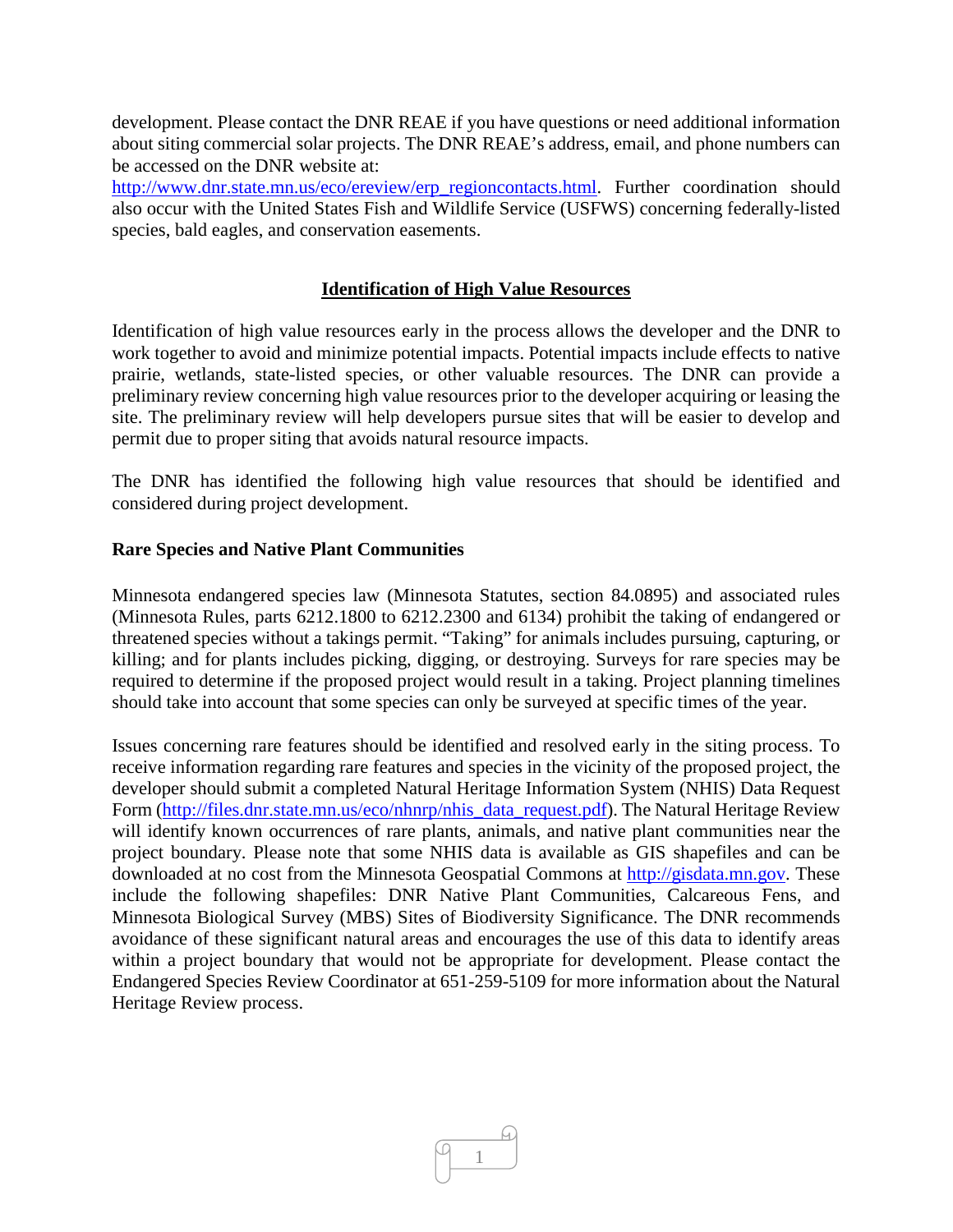development. Please contact the DNR REAE if you have questions or need additional information about siting commercial solar projects. The DNR REAE's address, email, and phone numbers can be accessed on the DNR website at:

[http://www.dnr.state.mn.us/eco/ereview/erp\\_regioncontacts.html.](http://www.dnr.state.mn.us/eco/ereview/erp_regioncontacts.html) Further coordination should also occur with the United States Fish and Wildlife Service (USFWS) concerning federally-listed species, bald eagles, and conservation easements.

# **Identification of High Value Resources**

Identification of high value resources early in the process allows the developer and the DNR to work together to avoid and minimize potential impacts. Potential impacts include effects to native prairie, wetlands, state-listed species, or other valuable resources. The DNR can provide a preliminary review concerning high value resources prior to the developer acquiring or leasing the site. The preliminary review will help developers pursue sites that will be easier to develop and permit due to proper siting that avoids natural resource impacts.

The DNR has identified the following high value resources that should be identified and considered during project development.

#### **Rare Species and Native Plant Communities**

Minnesota endangered species law (Minnesota Statutes, section 84.0895) and associated rules (Minnesota Rules, parts 6212.1800 to 6212.2300 and 6134) prohibit the taking of endangered or threatened species without a takings permit. "Taking" for animals includes pursuing, capturing, or killing; and for plants includes picking, digging, or destroying. Surveys for rare species may be required to determine if the proposed project would result in a taking. Project planning timelines should take into account that some species can only be surveyed at specific times of the year.

Issues concerning rare features should be identified and resolved early in the siting process. To receive information regarding rare features and species in the vicinity of the proposed project, the developer should submit a completed Natural Heritage Information System (NHIS) Data Request Form [\(http://files.dnr.state.mn.us/eco/nhnrp/nhis\\_data\\_request.pdf\)](http://files.dnr.state.mn.us/eco/nhnrp/nhis_data_request.pdf). The Natural Heritage Review will identify known occurrences of rare plants, animals, and native plant communities near the project boundary. Please note that some NHIS data is available as GIS shapefiles and can be downloaded at no cost from the Minnesota Geospatial Commons at [http://gisdata.mn.gov.](http://gisdata.mn.gov/) These include the following shapefiles: DNR Native Plant Communities, Calcareous Fens, and Minnesota Biological Survey (MBS) Sites of Biodiversity Significance. The DNR recommends avoidance of these significant natural areas and encourages the use of this data to identify areas within a project boundary that would not be appropriate for development. Please contact the Endangered Species Review Coordinator at 651-259-5109 for more information about the Natural Heritage Review process.

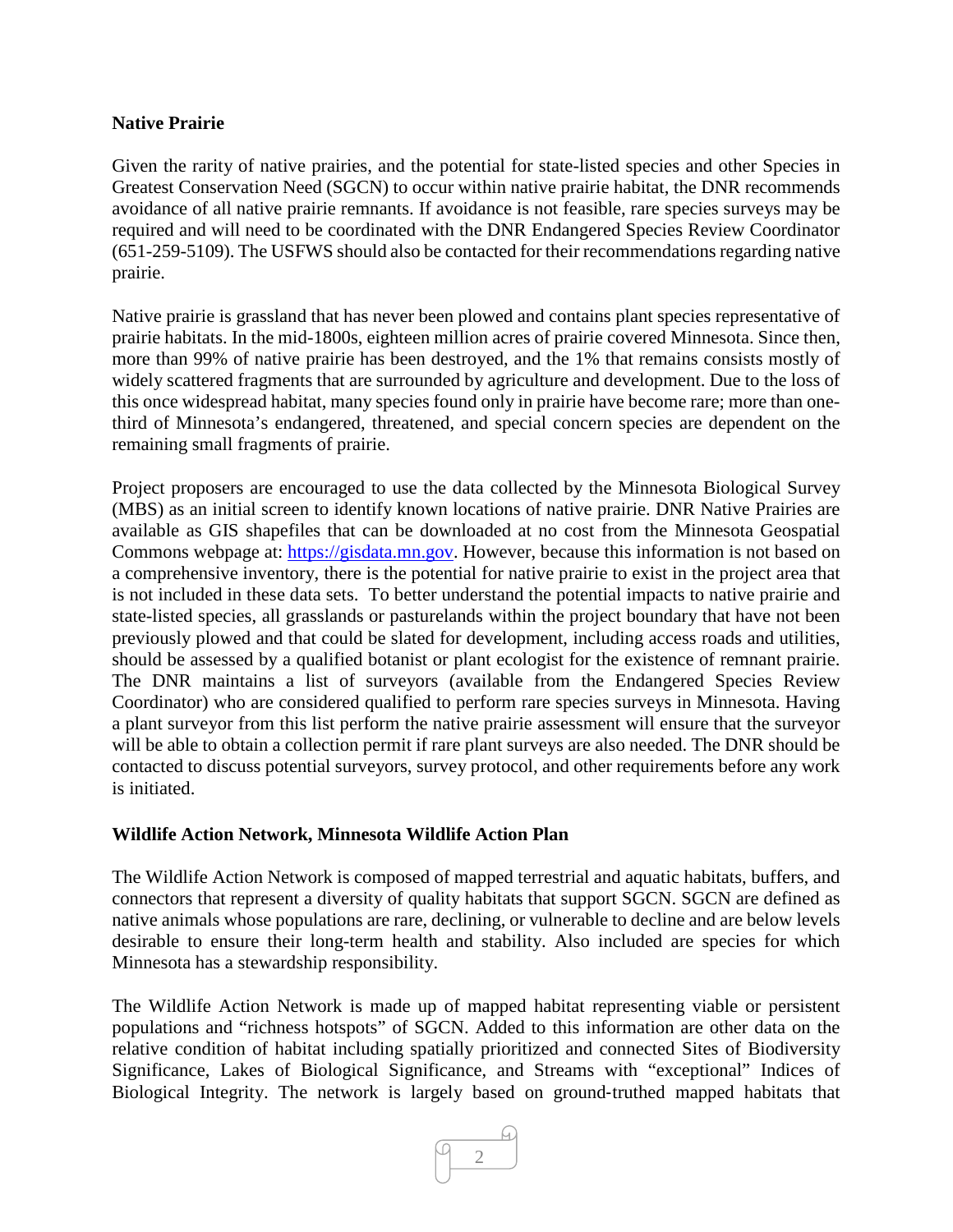# **Native Prairie**

Given the rarity of native prairies, and the potential for state-listed species and other Species in Greatest Conservation Need (SGCN) to occur within native prairie habitat, the DNR recommends avoidance of all native prairie remnants. If avoidance is not feasible, rare species surveys may be required and will need to be coordinated with the DNR Endangered Species Review Coordinator (651-259-5109). The USFWS should also be contacted for their recommendations regarding native prairie.

Native prairie is grassland that has never been plowed and contains plant species representative of prairie habitats. In the mid-1800s, eighteen million acres of prairie covered Minnesota. Since then, more than 99% of native prairie has been destroyed, and the 1% that remains consists mostly of widely scattered fragments that are surrounded by agriculture and development. Due to the loss of this once widespread habitat, many species found only in prairie have become rare; more than onethird of Minnesota's endangered, threatened, and special concern species are dependent on the remaining small fragments of prairie.

Project proposers are encouraged to use the data collected by the Minnesota Biological Survey (MBS) as an initial screen to identify known locations of native prairie. DNR Native Prairies are available as GIS shapefiles that can be downloaded at no cost from the Minnesota Geospatial Commons webpage at: [https://gisdata.mn.gov.](https://gisdata.mn.gov/) However, because this information is not based on a comprehensive inventory, there is the potential for native prairie to exist in the project area that is not included in these data sets. To better understand the potential impacts to native prairie and state-listed species, all grasslands or pasturelands within the project boundary that have not been previously plowed and that could be slated for development, including access roads and utilities, should be assessed by a qualified botanist or plant ecologist for the existence of remnant prairie. The DNR maintains a list of surveyors (available from the Endangered Species Review Coordinator) who are considered qualified to perform rare species surveys in Minnesota. Having a plant surveyor from this list perform the native prairie assessment will ensure that the surveyor will be able to obtain a collection permit if rare plant surveys are also needed. The DNR should be contacted to discuss potential surveyors, survey protocol, and other requirements before any work is initiated.

#### **Wildlife Action Network, Minnesota Wildlife Action Plan**

The Wildlife Action Network is composed of mapped terrestrial and aquatic habitats, buffers, and connectors that represent a diversity of quality habitats that support SGCN. SGCN are defined as native animals whose populations are rare, declining, or vulnerable to decline and are below levels desirable to ensure their long-term health and stability. Also included are species for which Minnesota has a stewardship responsibility.

The Wildlife Action Network is made up of mapped habitat representing viable or persistent populations and "richness hotspots" of SGCN. Added to this information are other data on the relative condition of habitat including spatially prioritized and connected Sites of Biodiversity Significance, Lakes of Biological Significance, and Streams with "exceptional" Indices of Biological Integrity. The network is largely based on ground‐truthed mapped habitats that

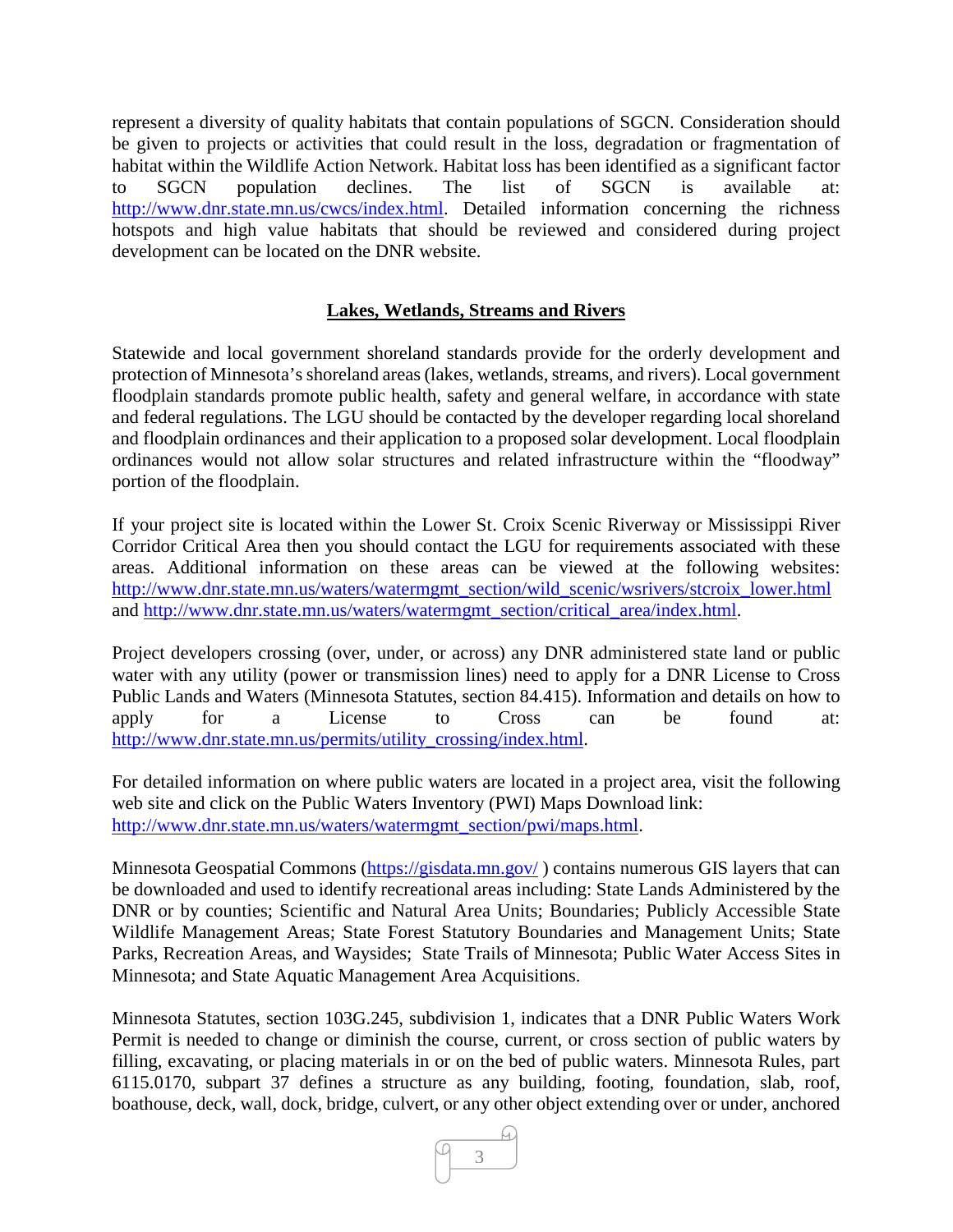represent a diversity of quality habitats that contain populations of SGCN. Consideration should be given to projects or activities that could result in the loss, degradation or fragmentation of habitat within the Wildlife Action Network. Habitat loss has been identified as a significant factor to SGCN population declines. The list of SGCN is available at: [http://www.dnr.state.mn.us/cwcs/index.html.](http://www.dnr.state.mn.us/cwcs/index.html) Detailed information concerning the richness hotspots and high value habitats that should be reviewed and considered during project development can be located on the DNR website.

# **Lakes, Wetlands, Streams and Rivers**

Statewide and local government shoreland standards provide for the orderly development and protection of Minnesota's shoreland areas (lakes, wetlands, streams, and rivers). Local government floodplain standards promote public health, safety and general welfare, in accordance with state and federal regulations. The LGU should be contacted by the developer regarding local shoreland and floodplain ordinances and their application to a proposed solar development. Local floodplain ordinances would not allow solar structures and related infrastructure within the "floodway" portion of the floodplain.

If your project site is located within the Lower St. Croix Scenic Riverway or Mississippi River Corridor Critical Area then you should contact the LGU for requirements associated with these areas. Additional information on these areas can be viewed at the following websites: [http://www.dnr.state.mn.us/waters/watermgmt\\_section/wild\\_scenic/wsrivers/stcroix\\_lower.html](http://www.dnr.state.mn.us/waters/watermgmt_section/wild_scenic/wsrivers/stcroix_lower.html) and [http://www.dnr.state.mn.us/waters/watermgmt\\_section/critical\\_area/index.html.](http://www.dnr.state.mn.us/waters/watermgmt_section/critical_area/index.html)

Project developers crossing (over, under, or across) any DNR administered state land or public water with any utility (power or transmission lines) need to apply for a DNR License to Cross Public Lands and Waters (Minnesota Statutes, section 84.415). Information and details on how to apply for a License to Cross can be found at: [http://www.dnr.state.mn.us/permits/utility\\_crossing/index.html.](http://www.dnr.state.mn.us/permits/utility_crossing/index.html)

For detailed information on where public waters are located in a project area, visit the following web site and click on the Public Waters Inventory (PWI) Maps Download link: [http://www.dnr.state.mn.us/waters/watermgmt\\_section/pwi/maps.html.](http://www.dnr.state.mn.us/waters/watermgmt_section/pwi/maps.html)

Minnesota Geospatial Commons [\(https://gisdata.mn.gov/](https://gisdata.mn.gov/)) contains numerous GIS layers that can be downloaded and used to identify recreational areas including: State Lands Administered by the DNR or by counties; Scientific and Natural Area Units; Boundaries; Publicly Accessible State Wildlife Management Areas; State Forest Statutory Boundaries and Management Units; State Parks, Recreation Areas, and Waysides; State Trails of Minnesota; Public Water Access Sites in Minnesota; and State Aquatic Management Area Acquisitions.

Minnesota Statutes, section 103G.245, subdivision 1, indicates that a DNR Public Waters Work Permit is needed to change or diminish the course, current, or cross section of public waters by filling, excavating, or placing materials in or on the bed of public waters. Minnesota Rules, part 6115.0170, subpart 37 defines a structure as any building, footing, foundation, slab, roof, boathouse, deck, wall, dock, bridge, culvert, or any other object extending over or under, anchored

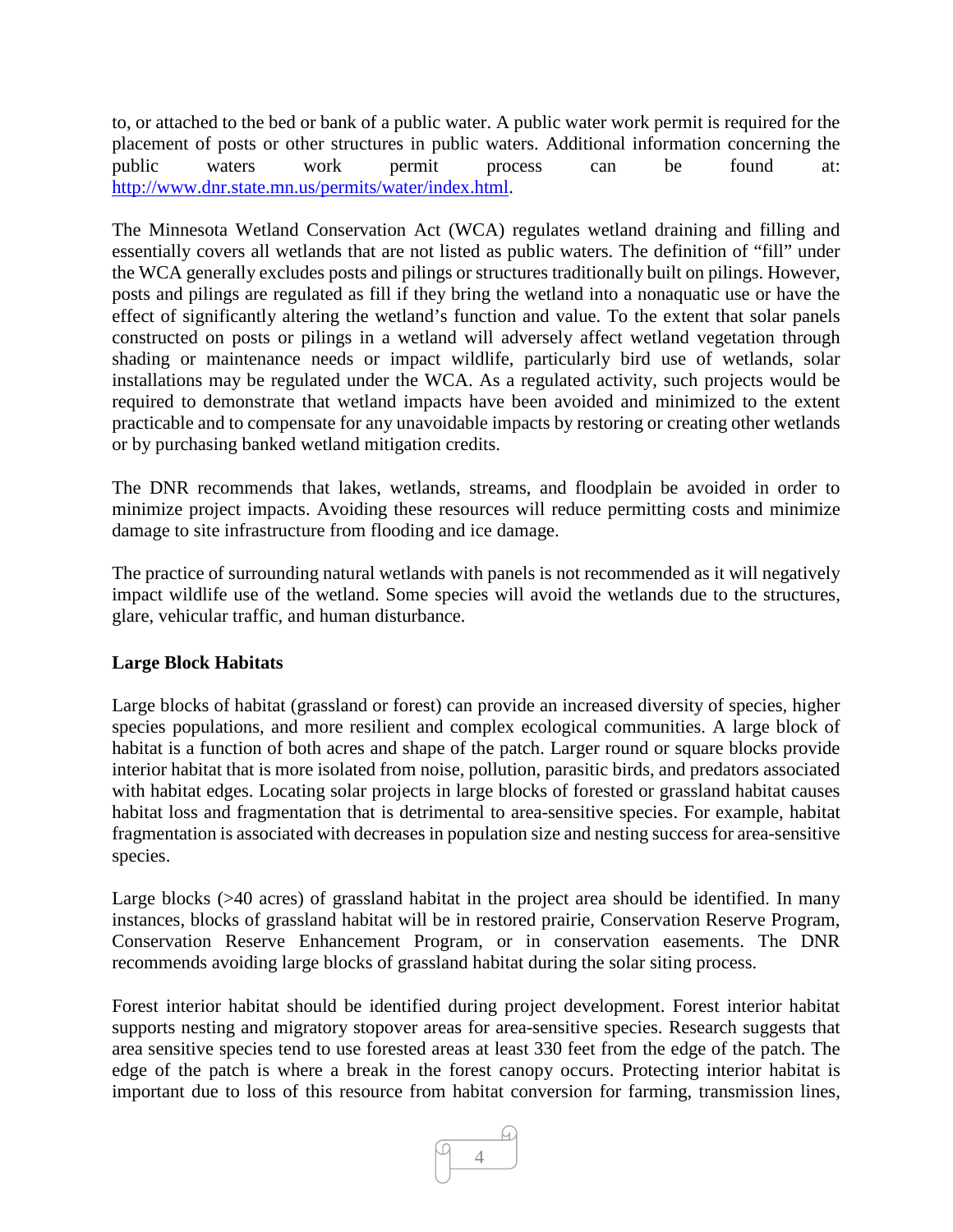to, or attached to the bed or bank of a public water. A public water work permit is required for the placement of posts or other structures in public waters. Additional information concerning the public waters work permit process can be found at: [http://www.dnr.state.mn.us/permits/water/index.html.](http://www.dnr.state.mn.us/permits/water/index.html)

The Minnesota Wetland Conservation Act (WCA) regulates wetland draining and filling and essentially covers all wetlands that are not listed as public waters. The definition of "fill" under the WCA generally excludes posts and pilings or structures traditionally built on pilings. However, posts and pilings are regulated as fill if they bring the wetland into a nonaquatic use or have the effect of significantly altering the wetland's function and value. To the extent that solar panels constructed on posts or pilings in a wetland will adversely affect wetland vegetation through shading or maintenance needs or impact wildlife, particularly bird use of wetlands, solar installations may be regulated under the WCA. As a regulated activity, such projects would be required to demonstrate that wetland impacts have been avoided and minimized to the extent practicable and to compensate for any unavoidable impacts by restoring or creating other wetlands or by purchasing banked wetland mitigation credits.

The DNR recommends that lakes, wetlands, streams, and floodplain be avoided in order to minimize project impacts. Avoiding these resources will reduce permitting costs and minimize damage to site infrastructure from flooding and ice damage.

The practice of surrounding natural wetlands with panels is not recommended as it will negatively impact wildlife use of the wetland. Some species will avoid the wetlands due to the structures, glare, vehicular traffic, and human disturbance.

# **Large Block Habitats**

Large blocks of habitat (grassland or forest) can provide an increased diversity of species, higher species populations, and more resilient and complex ecological communities. A large block of habitat is a function of both acres and shape of the patch. Larger round or square blocks provide interior habitat that is more isolated from noise, pollution, parasitic birds, and predators associated with habitat edges. Locating solar projects in large blocks of forested or grassland habitat causes habitat loss and fragmentation that is detrimental to area-sensitive species. For example, habitat fragmentation is associated with decreases in population size and nesting success for area-sensitive species.

Large blocks (>40 acres) of grassland habitat in the project area should be identified. In many instances, blocks of grassland habitat will be in restored prairie, Conservation Reserve Program, Conservation Reserve Enhancement Program, or in conservation easements. The DNR recommends avoiding large blocks of grassland habitat during the solar siting process.

Forest interior habitat should be identified during project development. Forest interior habitat supports nesting and migratory stopover areas for area-sensitive species. Research suggests that area sensitive species tend to use forested areas at least 330 feet from the edge of the patch. The edge of the patch is where a break in the forest canopy occurs. Protecting interior habitat is important due to loss of this resource from habitat conversion for farming, transmission lines,

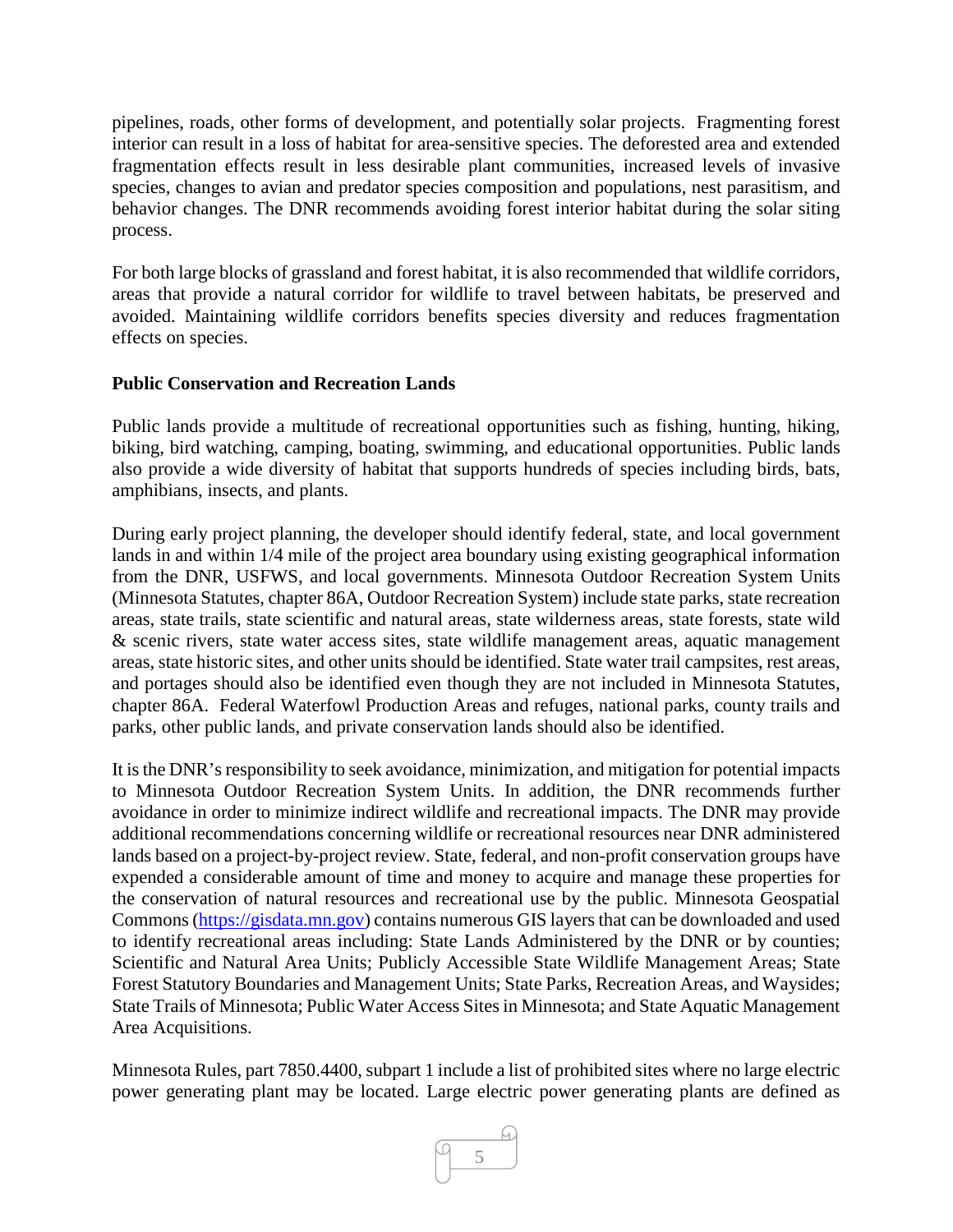pipelines, roads, other forms of development, and potentially solar projects. Fragmenting forest interior can result in a loss of habitat for area-sensitive species. The deforested area and extended fragmentation effects result in less desirable plant communities, increased levels of invasive species, changes to avian and predator species composition and populations, nest parasitism, and behavior changes. The DNR recommends avoiding forest interior habitat during the solar siting process.

For both large blocks of grassland and forest habitat, it is also recommended that wildlife corridors, areas that provide a natural corridor for wildlife to travel between habitats, be preserved and avoided. Maintaining wildlife corridors benefits species diversity and reduces fragmentation effects on species.

# **Public Conservation and Recreation Lands**

Public lands provide a multitude of recreational opportunities such as fishing, hunting, hiking, biking, bird watching, camping, boating, swimming, and educational opportunities. Public lands also provide a wide diversity of habitat that supports hundreds of species including birds, bats, amphibians, insects, and plants.

During early project planning, the developer should identify federal, state, and local government lands in and within 1/4 mile of the project area boundary using existing geographical information from the DNR, USFWS, and local governments. Minnesota Outdoor Recreation System Units (Minnesota Statutes, chapter 86A, Outdoor Recreation System) include state parks, state recreation areas, state trails, state scientific and natural areas, state wilderness areas, state forests, state wild & scenic rivers, state water access sites, state wildlife management areas, aquatic management areas, state historic sites, and other units should be identified. State water trail campsites, rest areas, and portages should also be identified even though they are not included in Minnesota Statutes, chapter 86A. Federal Waterfowl Production Areas and refuges, national parks, county trails and parks, other public lands, and private conservation lands should also be identified.

It is the DNR's responsibility to seek avoidance, minimization, and mitigation for potential impacts to Minnesota Outdoor Recreation System Units. In addition, the DNR recommends further avoidance in order to minimize indirect wildlife and recreational impacts. The DNR may provide additional recommendations concerning wildlife or recreational resources near DNR administered lands based on a project-by-project review. State, federal, and non-profit conservation groups have expended a considerable amount of time and money to acquire and manage these properties for the conservation of natural resources and recreational use by the public. Minnesota Geospatial Commons [\(https://gisdata.mn.gov\)](https://gisdata.mn.gov/) contains numerous GIS layers that can be downloaded and used to identify recreational areas including: State Lands Administered by the DNR or by counties; Scientific and Natural Area Units; Publicly Accessible State Wildlife Management Areas; State Forest Statutory Boundaries and Management Units; State Parks, Recreation Areas, and Waysides; State Trails of Minnesota; Public Water Access Sites in Minnesota; and State Aquatic Management Area Acquisitions.

Minnesota Rules, part 7850.4400, subpart 1 include a list of prohibited sites where no large electric power generating plant may be located. Large electric power generating plants are defined as

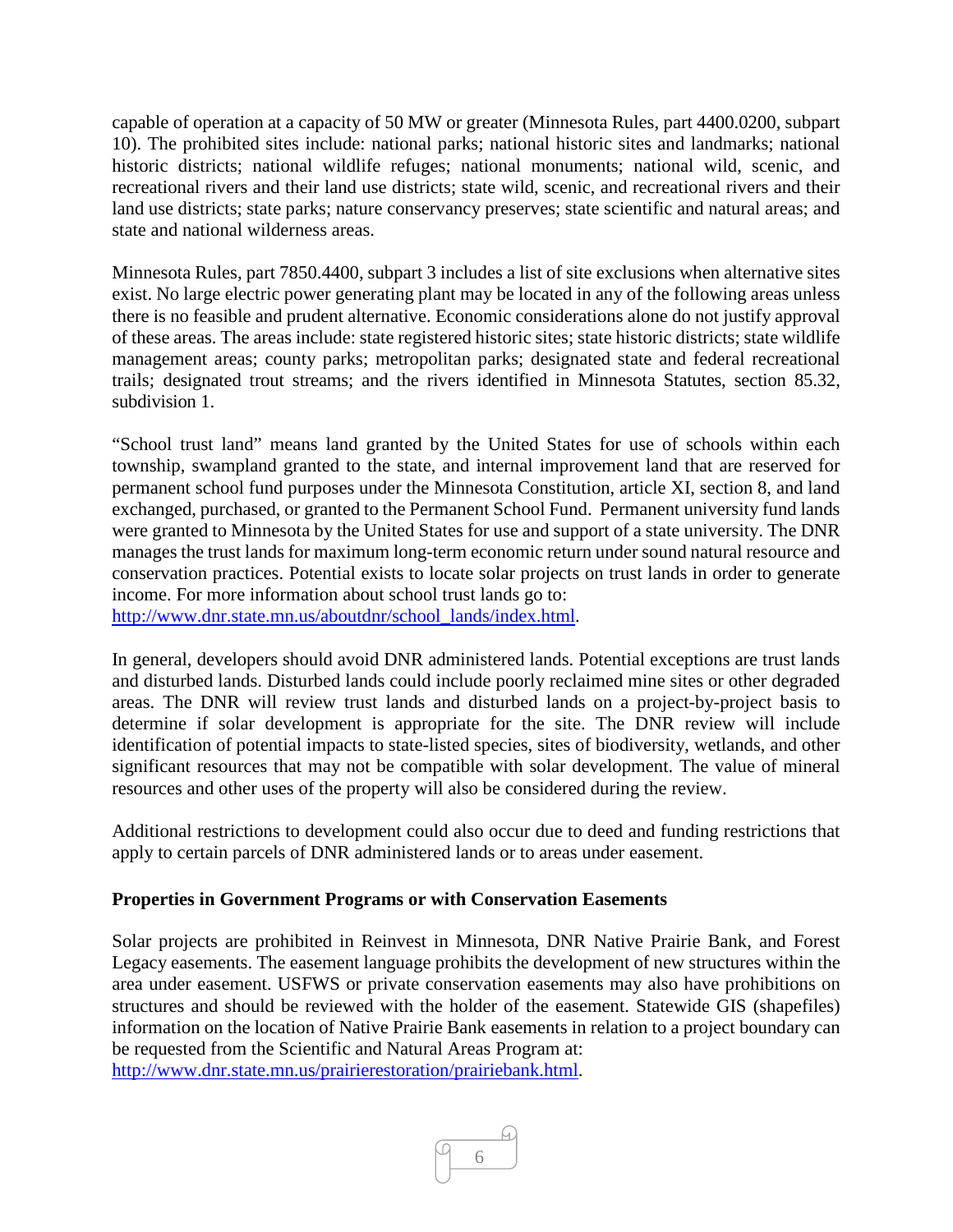capable of operation at a capacity of 50 MW or greater (Minnesota Rules, part 4400.0200, subpart 10). The prohibited sites include: national parks; national historic sites and landmarks; national historic districts; national wildlife refuges; national monuments; national wild, scenic, and recreational rivers and their land use districts; state wild, scenic, and recreational rivers and their land use districts; state parks; nature conservancy preserves; state scientific and natural areas; and state and national wilderness areas.

Minnesota Rules, part 7850.4400, subpart 3 includes a list of site exclusions when alternative sites exist. No large electric power generating plant may be located in any of the following areas unless there is no feasible and prudent alternative. Economic considerations alone do not justify approval of these areas. The areas include: state registered historic sites; state historic districts; state wildlife management areas; county parks; metropolitan parks; designated state and federal recreational trails; designated trout streams; and the rivers identified in Minnesota Statutes, section 85.32, subdivision 1.

"School trust land" means land granted by the United States for use of schools within each township, swampland granted to the state, and internal improvement land that are reserved for permanent school fund purposes under the Minnesota Constitution, article XI, section 8, and land exchanged, purchased, or granted to the Permanent School Fund. Permanent university fund lands were granted to Minnesota by the United States for use and support of a state university. The DNR manages the trust lands for maximum long-term economic return under sound natural resource and conservation practices. Potential exists to locate solar projects on trust lands in order to generate income. For more information about school trust lands go to: [http://www.dnr.state.mn.us/aboutdnr/school\\_lands/index.html.](http://www.dnr.state.mn.us/aboutdnr/school_lands/index.html)

In general, developers should avoid DNR administered lands. Potential exceptions are trust lands and disturbed lands. Disturbed lands could include poorly reclaimed mine sites or other degraded areas. The DNR will review trust lands and disturbed lands on a project-by-project basis to determine if solar development is appropriate for the site. The DNR review will include identification of potential impacts to state-listed species, sites of biodiversity, wetlands, and other significant resources that may not be compatible with solar development. The value of mineral resources and other uses of the property will also be considered during the review.

Additional restrictions to development could also occur due to deed and funding restrictions that apply to certain parcels of DNR administered lands or to areas under easement.

# **Properties in Government Programs or with Conservation Easements**

Solar projects are prohibited in Reinvest in Minnesota, DNR Native Prairie Bank, and Forest Legacy easements. The easement language prohibits the development of new structures within the area under easement. USFWS or private conservation easements may also have prohibitions on structures and should be reviewed with the holder of the easement. Statewide GIS (shapefiles) information on the location of Native Prairie Bank easements in relation to a project boundary can be requested from the Scientific and Natural Areas Program at: [http://www.dnr.state.mn.us/prairierestoration/prairiebank.html.](http://www.dnr.state.mn.us/prairierestoration/prairiebank.html)

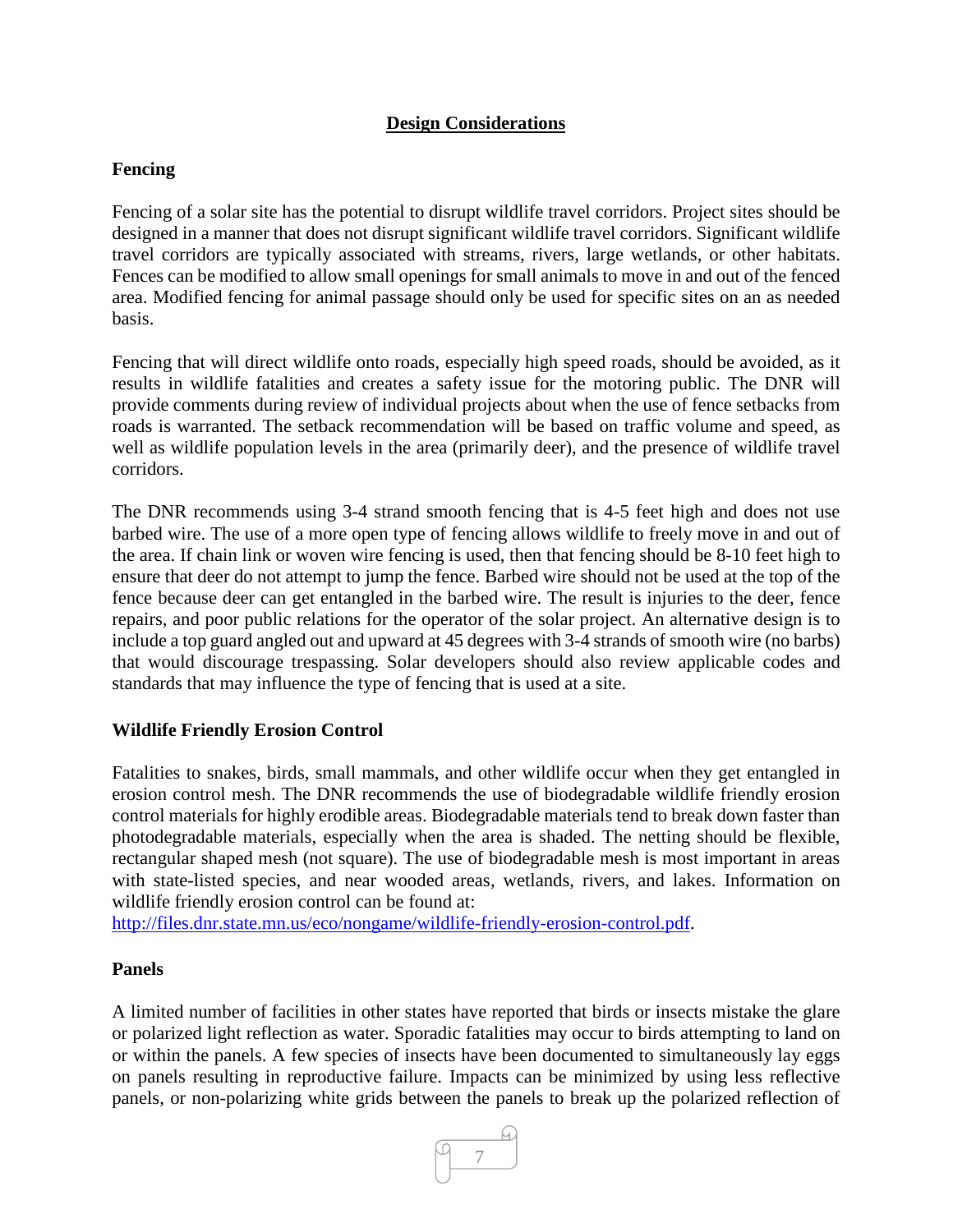# **Design Considerations**

#### **Fencing**

Fencing of a solar site has the potential to disrupt wildlife travel corridors. Project sites should be designed in a manner that does not disrupt significant wildlife travel corridors. Significant wildlife travel corridors are typically associated with streams, rivers, large wetlands, or other habitats. Fences can be modified to allow small openings for small animals to move in and out of the fenced area. Modified fencing for animal passage should only be used for specific sites on an as needed basis.

Fencing that will direct wildlife onto roads, especially high speed roads, should be avoided, as it results in wildlife fatalities and creates a safety issue for the motoring public. The DNR will provide comments during review of individual projects about when the use of fence setbacks from roads is warranted. The setback recommendation will be based on traffic volume and speed, as well as wildlife population levels in the area (primarily deer), and the presence of wildlife travel corridors.

The DNR recommends using 3-4 strand smooth fencing that is 4-5 feet high and does not use barbed wire. The use of a more open type of fencing allows wildlife to freely move in and out of the area. If chain link or woven wire fencing is used, then that fencing should be 8-10 feet high to ensure that deer do not attempt to jump the fence. Barbed wire should not be used at the top of the fence because deer can get entangled in the barbed wire. The result is injuries to the deer, fence repairs, and poor public relations for the operator of the solar project. An alternative design is to include a top guard angled out and upward at 45 degrees with 3-4 strands of smooth wire (no barbs) that would discourage trespassing. Solar developers should also review applicable codes and standards that may influence the type of fencing that is used at a site.

#### **Wildlife Friendly Erosion Control**

Fatalities to snakes, birds, small mammals, and other wildlife occur when they get entangled in erosion control mesh. The DNR recommends the use of biodegradable wildlife friendly erosion control materials for highly erodible areas. Biodegradable materials tend to break down faster than photodegradable materials, especially when the area is shaded. The netting should be flexible, rectangular shaped mesh (not square). The use of biodegradable mesh is most important in areas with state-listed species, and near wooded areas, wetlands, rivers, and lakes. Information on wildlife friendly erosion control can be found at:

[http://files.dnr.state.mn.us/eco/nongame/wildlife-friendly-erosion-control.pdf.](http://files.dnr.state.mn.us/eco/nongame/wildlife-friendly-erosion-control.pdf)

#### **Panels**

A limited number of facilities in other states have reported that birds or insects mistake the glare or polarized light reflection as water. Sporadic fatalities may occur to birds attempting to land on or within the panels. A few species of insects have been documented to simultaneously lay eggs on panels resulting in reproductive failure. Impacts can be minimized by using less reflective panels, or non-polarizing white grids between the panels to break up the polarized reflection of

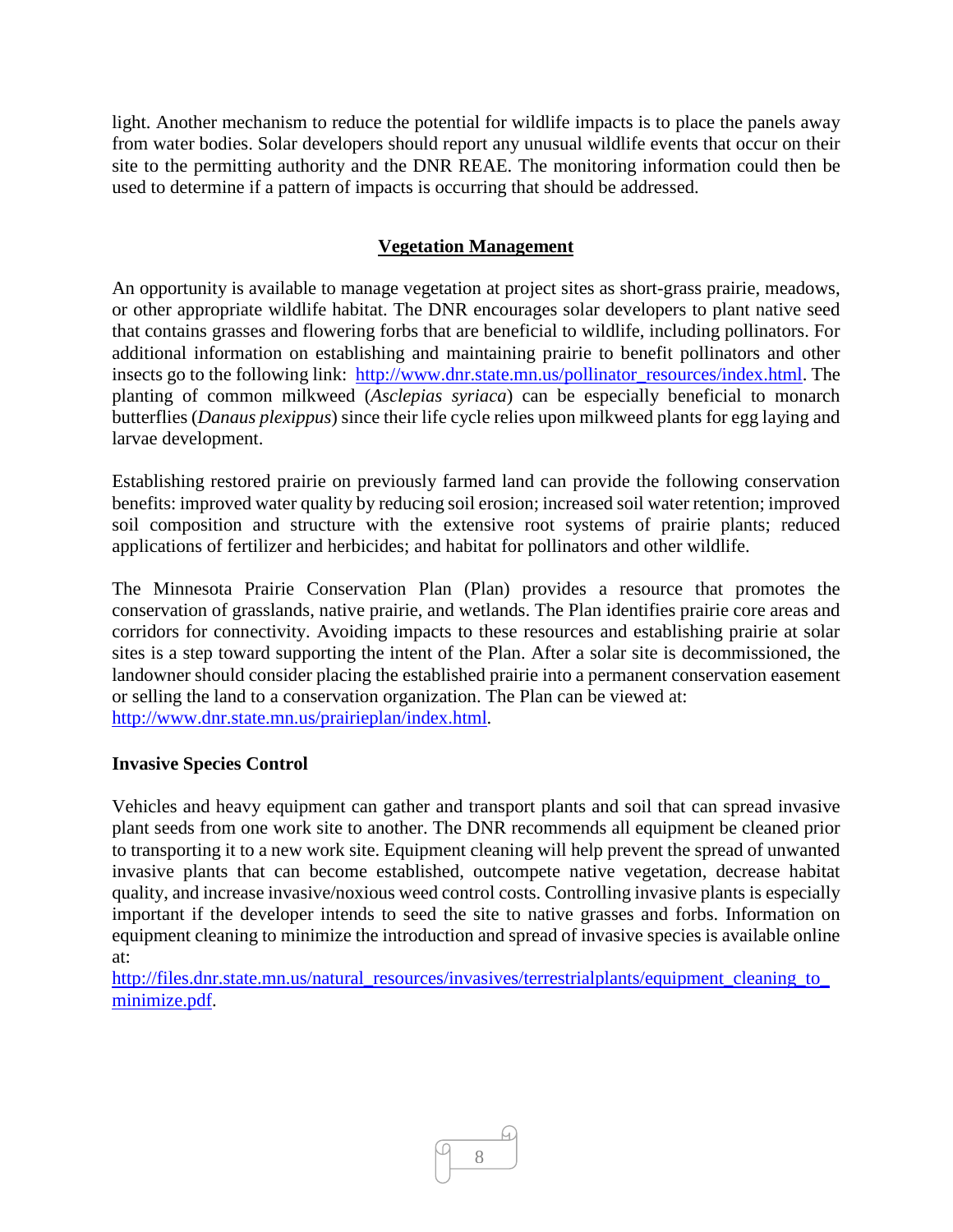light. Another mechanism to reduce the potential for wildlife impacts is to place the panels away from water bodies. Solar developers should report any unusual wildlife events that occur on their site to the permitting authority and the DNR REAE. The monitoring information could then be used to determine if a pattern of impacts is occurring that should be addressed.

# **Vegetation Management**

An opportunity is available to manage vegetation at project sites as short-grass prairie, meadows, or other appropriate wildlife habitat. The DNR encourages solar developers to plant native seed that contains grasses and flowering forbs that are beneficial to wildlife, including pollinators. For additional information on establishing and maintaining prairie to benefit pollinators and other insects go to the following link: [http://www.dnr.state.mn.us/pollinator\\_resources/index.html.](http://www.dnr.state.mn.us/pollinator_resources/index.html) The planting of common milkweed (*Asclepias syriaca*) can be especially beneficial to monarch butterflies (*Danaus plexippus*) since their life cycle relies upon milkweed plants for egg laying and larvae development.

Establishing restored prairie on previously farmed land can provide the following conservation benefits: improved water quality by reducing soil erosion; increased soil water retention; improved soil composition and structure with the extensive root systems of prairie plants; reduced applications of fertilizer and herbicides; and habitat for pollinators and other wildlife.

The Minnesota Prairie Conservation Plan (Plan) provides a resource that promotes the conservation of grasslands, native prairie, and wetlands. The Plan identifies prairie core areas and corridors for connectivity. Avoiding impacts to these resources and establishing prairie at solar sites is a step toward supporting the intent of the Plan. After a solar site is decommissioned, the landowner should consider placing the established prairie into a permanent conservation easement or selling the land to a conservation organization. The Plan can be viewed at: [http://www.dnr.state.mn.us/prairieplan/index.html.](http://www.dnr.state.mn.us/prairieplan/index.html)

# **Invasive Species Control**

Vehicles and heavy equipment can gather and transport plants and soil that can spread invasive plant seeds from one work site to another. The DNR recommends all equipment be cleaned prior to transporting it to a new work site. Equipment cleaning will help prevent the spread of unwanted invasive plants that can become established, outcompete native vegetation, decrease habitat quality, and increase invasive/noxious weed control costs. Controlling invasive plants is especially important if the developer intends to seed the site to native grasses and forbs. Information on equipment cleaning to minimize the introduction and spread of invasive species is available online at:

[http://files.dnr.state.mn.us/natural\\_resources/invasives/terrestrialplants/equipment\\_cleaning\\_to\\_](http://files.dnr.state.mn.us/natural_resources/invasives/terrestrialplants/equipment_cleaning_to_minimize.pdf) [minimize.pdf.](http://files.dnr.state.mn.us/natural_resources/invasives/terrestrialplants/equipment_cleaning_to_minimize.pdf)